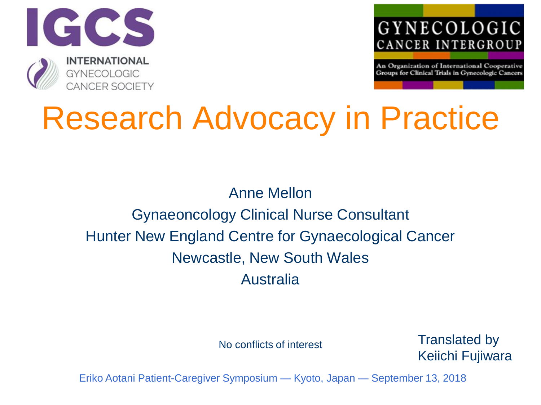



An Organization of International Cooperative Groups for Clinical Trials in Gynecologic Cancers

## Research Advocacy in Practice

## Anne Mellon Gynaeoncology Clinical Nurse Consultant Hunter New England Centre for Gynaecological Cancer Newcastle, New South Wales Australia

No conflicts of interest

Translated by Keiichi Fujiwara

Eriko Aotani Patient-Caregiver Symposium — Kyoto, Japan — September 13, 2018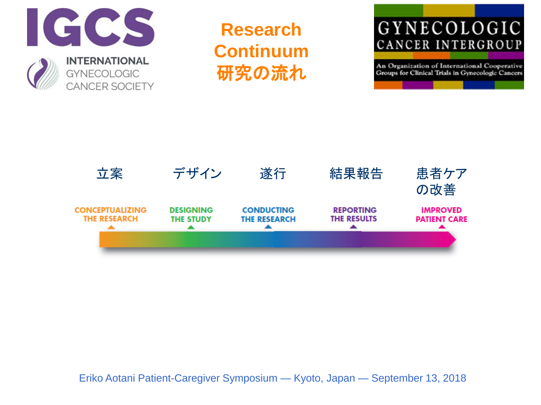

**Research Continuum** 研究の流れ

## GYNECOLOGIC CANCER INTERGROUP

An Organization of International Cooperative Groups for Clinical Trials in Gynecologic Cancers

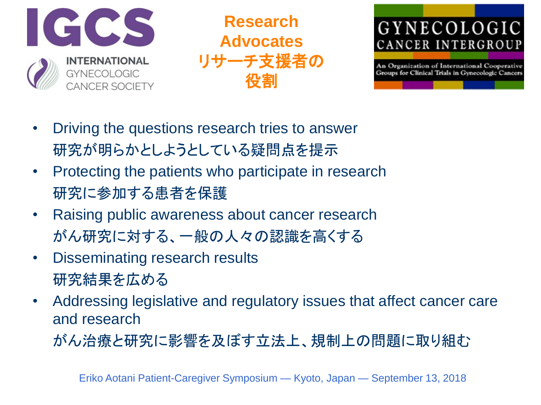

**Research Advocates** リサーチ支援者の 役割



An Organization of International Cooperative Groups for Clinical Trials in Gynecologic Cancers

- Driving the questions research tries to answer 研究が明らかとしようとしている疑問点を提示
- Protecting the patients who participate in research 研究に参加する患者を保護
- Raising public awareness about cancer research がん研究に対する、一般の人々の認識を高くする
- Disseminating research results 研究結果を広める
- Addressing legislative and regulatory issues that affect cancer care and research

がん治療と研究に影響を及ぼす立法上、規制上の問題に取り組む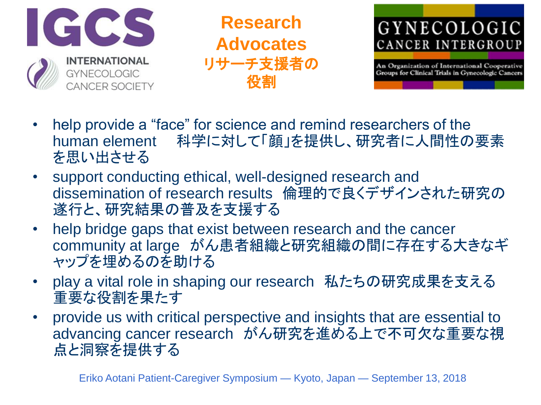

**Research Advocates** リサーチ支援者の 役割



An Organization of International Cooperative<br>Groups for Clinical Trials in Gynecologic Cancers

- help provide a "face" for science and remind researchers of the human element 科学に対して「顔」を提供し、研究者に人間性の要素 を思い出させる
- support conducting ethical, well-designed research and dissemination of research results 倫理的で良くデザインされた研究の 遂行と、研究結果の普及を支援する
- help bridge gaps that exist between research and the cancer community at large がん患者組織と研究組織の間に存在する大きなギ ャップを埋めるのを助ける
- play a vital role in shaping our research 私たちの研究成果を支える 重要な役割を果たす
- provide us with critical perspective and insights that are essential to advancing cancer research がん研究を進める上で不可欠な重要な視 点と洞察を提供する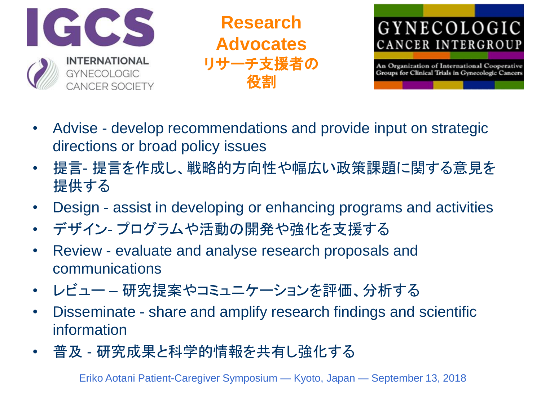

**Research Advocates** リサーチ支援者の 役割



An Organization of International Cooperative Groups for Clinical Trials in Gynecologic Cancers

- Advise develop recommendations and provide input on strategic directions or broad policy issues
- 提言- 提言を作成し、戦略的方向性や幅広い政策課題に関する意見を 提供する
- Design assist in developing or enhancing programs and activities
- デザイン- プログラムや活動の開発や強化を支援する
- Review evaluate and analyse research proposals and communications
- レビュー 研究提案やコミュニケーションを評価、分析する
- Disseminate share and amplify research findings and scientific information
- 普及 研究成果と科学的情報を共有し強化する

Eriko Aotani Patient-Caregiver Symposium — Kyoto, Japan — September 13, 2018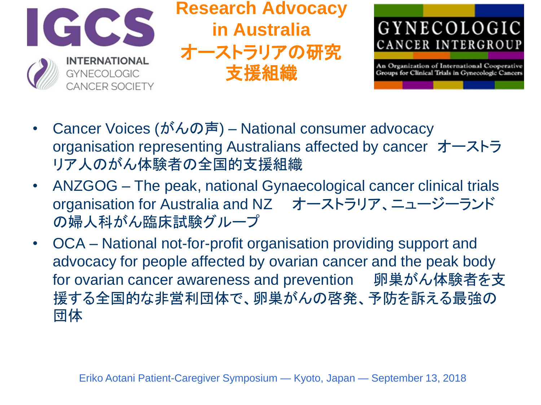

**Research Advocacy in Australia** オーストラリアの研究 支援組織



An Organization of International Cooperative Groups for Clinical Trials in Gynecologic Cancers

- Cancer Voices (がんの声) National consumer advocacy organisation representing Australians affected by cancer オーストラ リア人のがん体験者の全国的支援組織
- ANZGOG The peak, national Gynaecological cancer clinical trials organisation for Australia and NZ オーストラリア、ニュージーランド の婦人科がん臨床試験グループ
- OCA National not-for-profit organisation providing support and advocacy for people affected by ovarian cancer and the peak body for ovarian cancer awareness and prevention 卵巣がん体験者を支 援する全国的な非営利団体で、卵巣がんの啓発、予防を訴える最強の 団体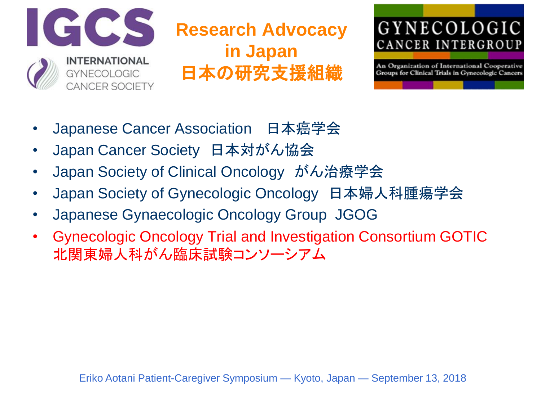

**Research Advocacy in Japan** 日本の研究支援組織



An Organization of International Cooperative Groups for Clinical Trials in Gynecologic Cancers

- Japanese Cancer Association 日本癌学会
- Japan Cancer Society 日本対がん協会
- Japan Society of Clinical Oncology がん治療学会
- Japan Society of Gynecologic Oncology 日本婦人科腫瘍学会
- Japanese Gynaecologic Oncology Group JGOG
- Gynecologic Oncology Trial and Investigation Consortium GOTIC 北関東婦人科がん臨床試験コンソーシアム